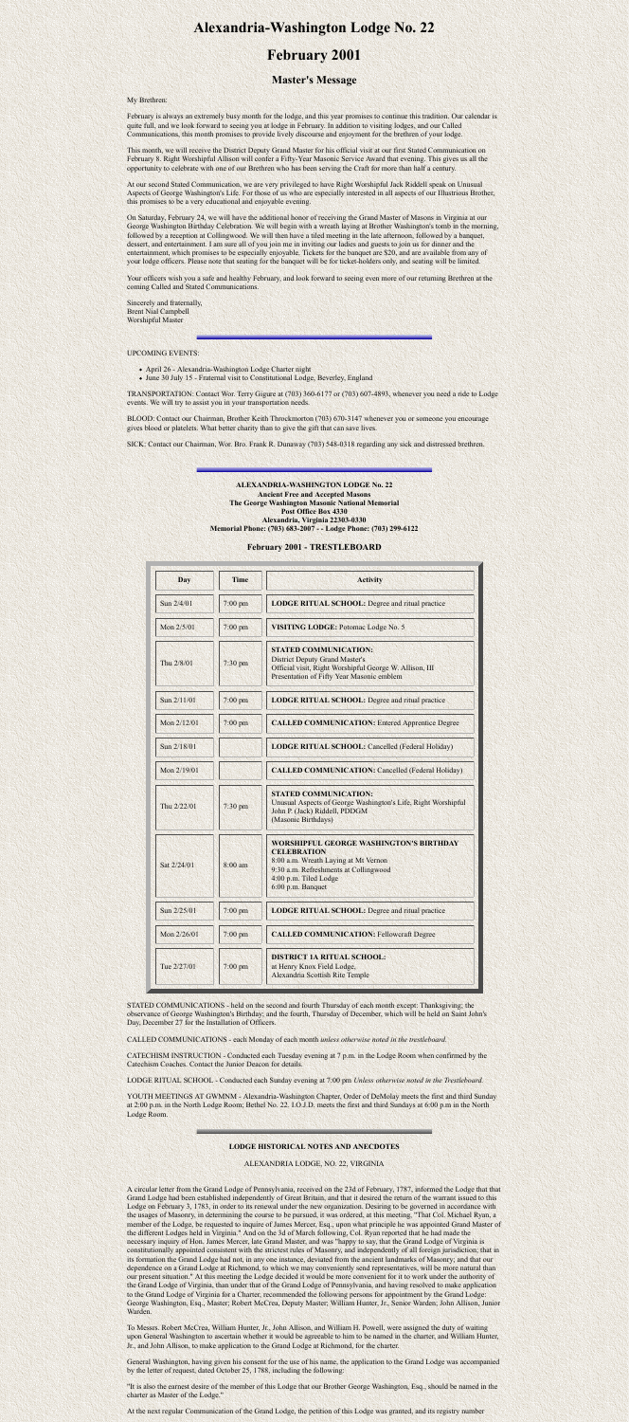# **Alexandria-Washington Lodge No. 22**

## **February 2001**

### **Master's Message**

My Brethren:

February is always an extremely busy month for the lodge, and this year promises to continue this tradition. Our calendar is quite full, and we look forward to seeing you at lodge in February. In addition to visiting lodges, and our Called Communications, this month promises to provide lively discourse and enjoyment for the brethren of your lodge.

This month, we will receive the District Deputy Grand Master for his official visit at our first Stated Communication on February 8. Right Worshipful Allison will confer a Fifty-Year Masonic Service Award that evening. This gives us all the opportunity to celebrate with one of our Brethren who has been serving the Craft for more than half a century.

At our second Stated Communication, we are very privileged to have Right Worshipful Jack Riddell speak on Unusual Aspects of George Washington's Life. For those of us who are especially interested in all aspects of our Illustrious Brother, this promises to be a very educational and enjoyable evening.

On Saturday, February 24, we will have the additional honor of receiving the Grand Master of Masons in Virginia at our George Washington Birthday Celebration. We will begin with a wreath laying at Brother Washington's tomb in the morning, followed by a reception at Collingwood. We will then have a tiled meeting in the late afternoon, followed by a banquet, dessert, and entertainment. I am sure all of you join me in inviting our ladies and guests to join us for dinner and the entertainment, which promises to be especially enjoyable. Tickets for the banquet are \$20, and are available from any of your lodge officers. Please note that seating for the banquet will be for ticket-holders only, and seating will be limited.

Your officers wish you a safe and healthy February, and look forward to seeing even more of our returning Brethren at the coming Called and Stated Communications.

Sincerely and fraternally, Brent Nial Campbell Worshipful Master

#### UPCOMING EVENTS:

- April 26 Alexandria-Washington Lodge Charter night
- June 30 July 15 Fraternal visit to Constitutional Lodge, Beverley, England

TRANSPORTATION: Contact Wor. Terry Gigure at (703) 360-6177 or (703) 607-4893, whenever you need a ride to Lodge events. We will try to assist you in your transportation needs.

BLOOD: Contact our Chairman, Brother Keith Throckmorton (703) 670-3147 whenever you or someone you encourage gives blood or platelets. What better charity than to give the gift that can save lives.

SICK: Contact our Chairman, Wor. Bro. Frank R. Dunaway (703) 548-0318 regarding any sick and distressed brethren.

**ALEXANDRIA-WASHINGTON LODGE No. 22 Ancient Free and Accepted Masons The George Washington Masonic National Memorial Post Office Box 4330 Alexandria, Virginia 22303-0330 Memorial Phone: (703) 683-2007 - - Lodge Phone: (703) 299-6122**

**February 2001 - TRESTLEBOARD**

| Day         | <b>Time</b> | <b>Activity</b>                                                                                                                                                                                     |
|-------------|-------------|-----------------------------------------------------------------------------------------------------------------------------------------------------------------------------------------------------|
| Sun 2/4/01  | $7:00$ pm   | <b>LODGE RITUAL SCHOOL: Degree and ritual practice</b>                                                                                                                                              |
| Mon 2/5/01  | 7:00 pm     | VISITING LODGE: Potomac Lodge No. 5                                                                                                                                                                 |
| Thu 2/8/01  | 7:30 pm     | <b>STATED COMMUNICATION:</b><br><b>District Deputy Grand Master's</b><br>Official visit, Right Worshipful George W. Allison, III<br>Presentation of Fifty Year Masonic emblem                       |
| Sun 2/11/01 | 7:00 pm     | <b>LODGE RITUAL SCHOOL:</b> Degree and ritual practice                                                                                                                                              |
| Mon 2/12/01 | 7:00 pm     | <b>CALLED COMMUNICATION: Entered Apprentice Degree</b>                                                                                                                                              |
| Sun 2/18/01 |             | <b>LODGE RITUAL SCHOOL: Cancelled (Federal Holiday)</b>                                                                                                                                             |
| Mon 2/19/01 |             | <b>CALLED COMMUNICATION: Cancelled (Federal Holiday)</b>                                                                                                                                            |
| Thu 2/22/01 | $7:30$ pm   | <b>STATED COMMUNICATION:</b><br>Unusual Aspects of George Washington's Life, Right Worshipful<br>John P. (Jack) Riddell, PDDGM<br>(Masonic Birthdays)                                               |
| Sat 2/24/01 | $8:00$ am   | <b>WORSHIPFUL GEORGE WASHINGTON'S BIRTHDAY</b><br><b>CELEBRATION</b><br>8:00 a.m. Wreath Laying at Mt Vernon<br>9:30 a.m. Refreshments at Collingwood<br>4:00 p.m. Tiled Lodge<br>6:00 p.m. Banquet |
| Sun 2/25/01 | $7:00$ pm   | <b>LODGE RITUAL SCHOOL:</b> Degree and ritual practice                                                                                                                                              |
| Mon 2/26/01 | $7:00$ pm   | <b>CALLED COMMUNICATION: Fellowcraft Degree</b>                                                                                                                                                     |
| Tue 2/27/01 | $7:00$ pm   | <b>DISTRICT 1A RITUAL SCHOOL:</b><br>at Henry Knox Field Lodge,<br>Alexandria Scottish Rite Temple                                                                                                  |

STATED COMMUNICATIONS - held on the second and fourth Thursday of each month except: Thanksgiving; the observance of George Washington's Birthday; and the fourth, Thursday of December, which will be held on Saint John's Day, December 27 for the Installation of Officers.

CALLED COMMUNICATIONS - each Monday of each month *unless otherwise noted in the trestleboard.*

CATECHISM INSTRUCTION - Conducted each Tuesday evening at 7 p.m. in the Lodge Room when confirmed by the Catechism Coaches. Contact the Junior Deacon for details.

LODGE RITUAL SCHOOL - Conducted each Sunday evening at 7:00 pm *Unless otherwise noted in the Trestleboard.*

YOUTH MEETINGS AT GWMNM - Alexandria-Washington Chapter, Order of DeMolay meets the first and third Sunday at 2:00 p.m. in the North Lodge Room; Bethel No. 22. I.O.J.D. meets the first and third Sundays at 6:00 p.m in the North Lodge Room.

#### **LODGE HISTORICAL NOTES AND ANECDOTES**

#### ALEXANDRIA LODGE, NO. 22, VIRGINIA

A circular letter from the Grand Lodge of Pennsylvania, received on the 23d of February, 1787, informed the Lodge that that Grand Lodge had been established independently of Great Britain, and that it desired the return of the warrant issued to this Lodge on February 3, 1783, in order to its renewal under the new organization. Desiring to be governed in accordance with the usages of Masonry, in determining the course to be pursued, it was ordered, at this meeting, "That Col. Michael Ryan, a member of the Lodge, be requested to inquire of James Mercer, Esq., upon what principle he was appointed Grand Master of the different Lodges held in Virginia." And on the 3d of March following, Col. Ryan reported that he had made the necessary inquiry of Hon. James Mercer, late Grand Master, and was "happy to say, that the Grand Lodge of Virginia is constitutionally appointed consistent with the strictest rules of Masonry, and independently of all foreign jurisdiction; that in its formation the Grand Lodge had not, in any one instance, deviated from the ancient landmarks of Masonry; and that our dependence on a Grand Lodge at Richmond, to which we may conveniently send representatives, will be more natural than our present situation." At this meeting the Lodge decided it would be more convenient for it to work under the authority of the Grand Lodge of Virginia, than under that of the Grand Lodge of Pennsylvania, and having resolved to make application to the Grand Lodge of Virginia for a Charter, recommended the following persons for appointment by the Grand Lodge: George Washington, Esq., Master; Robert McCrea, Deputy Master; William Hunter, Jr., Senior Warden; John Allison, Junior Warden.

To Messrs. Robert McCrea, William Hunter, Jr., John Allison, and William H. Powell, were assigned the duty of waiting upon General Washington to ascertain whether it would be agreeable to him to be named in the charter, and William Hunter, Jr., and John Allison, to make application to the Grand Lodge at Richmond, for the charter.

General Washington, having given his consent for the use of his name, the application to the Grand Lodge was accompanied by the letter of request, dated October 25, 1788, including the following:

"It is also the earnest desire of the member of this Lodge that our Brother George Washington, Esq., should be named in the charter as Master of the Lodge."

At the next regular Communication of the Grand Lodge, the petition of this Lodge was granted, and its registry number